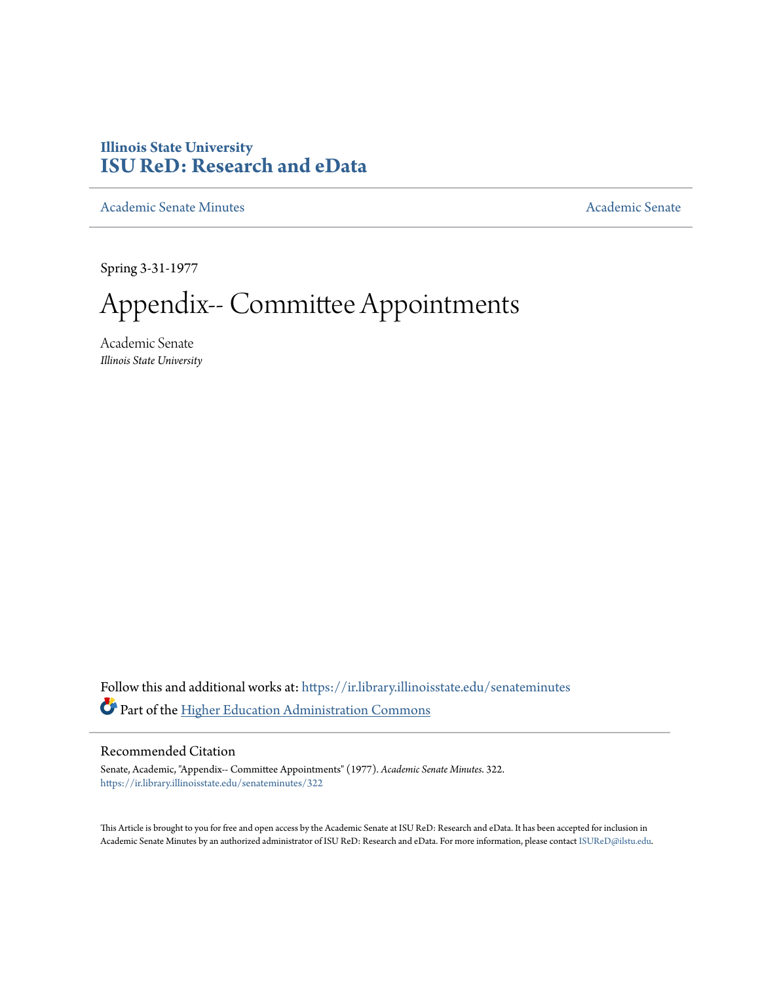# **Illinois State University [ISU ReD: Research and eData](https://ir.library.illinoisstate.edu?utm_source=ir.library.illinoisstate.edu%2Fsenateminutes%2F322&utm_medium=PDF&utm_campaign=PDFCoverPages)**

[Academic Senate Minutes](https://ir.library.illinoisstate.edu/senateminutes?utm_source=ir.library.illinoisstate.edu%2Fsenateminutes%2F322&utm_medium=PDF&utm_campaign=PDFCoverPages) [Academic Senate](https://ir.library.illinoisstate.edu/senate?utm_source=ir.library.illinoisstate.edu%2Fsenateminutes%2F322&utm_medium=PDF&utm_campaign=PDFCoverPages) Academic Senate

Spring 3-31-1977

Appendix-- Committee Appointments

Academic Senate *Illinois State University*

Follow this and additional works at: [https://ir.library.illinoisstate.edu/senateminutes](https://ir.library.illinoisstate.edu/senateminutes?utm_source=ir.library.illinoisstate.edu%2Fsenateminutes%2F322&utm_medium=PDF&utm_campaign=PDFCoverPages) Part of the [Higher Education Administration Commons](http://network.bepress.com/hgg/discipline/791?utm_source=ir.library.illinoisstate.edu%2Fsenateminutes%2F322&utm_medium=PDF&utm_campaign=PDFCoverPages)

## Recommended Citation

Senate, Academic, "Appendix-- Committee Appointments" (1977). *Academic Senate Minutes*. 322. [https://ir.library.illinoisstate.edu/senateminutes/322](https://ir.library.illinoisstate.edu/senateminutes/322?utm_source=ir.library.illinoisstate.edu%2Fsenateminutes%2F322&utm_medium=PDF&utm_campaign=PDFCoverPages)

This Article is brought to you for free and open access by the Academic Senate at ISU ReD: Research and eData. It has been accepted for inclusion in Academic Senate Minutes by an authorized administrator of ISU ReD: Research and eData. For more information, please contact [ISUReD@ilstu.edu.](mailto:ISUReD@ilstu.edu)